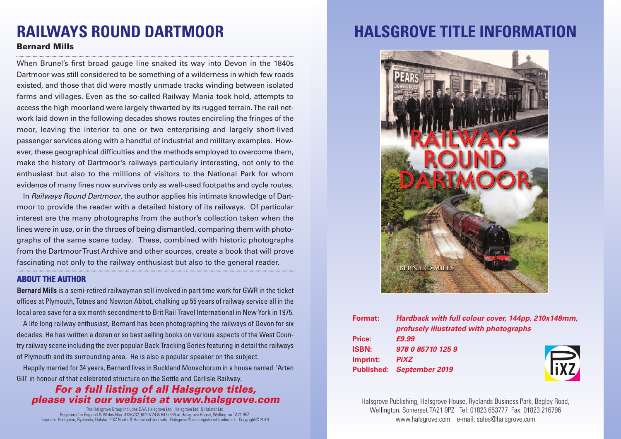# **RAILWAYS ROUND DARTMOOR**

### **Bernard Mills**

When Brunel's first broad gauge line snaked its way into Devon in the 1840s Dartmoor was still considered to be something of a wilderness in which few roads existed, and those that did were mostly unmade tracks winding between isolated farms and villages. Even as the so-called Railway Mania took hold, attempts to access the high moorland were largely thwarted by its rugged terrain.The rail network laid down in the following decades shows routes encircling the fringes of the moor, leaving the interior to one or two enterprising and largely short-lived passenger services along with a handful of industrial and military examples. However, these geographical difficulties and the methods employed to overcome them, make the history of Dartmoor's railways particularly interesting, not only to the enthusiast but also to the millions of visitors to the National Park for whom evidence of many lines now survives only as well-used footpaths and cycle routes.

In *Railways Round Dartmoor*, the author applies his intimate knowledge of Dartmoor to provide the reader with a detailed history of its railways. Of particular interest are the many photographs from the author's collection taken when the lines were in use, or in the throes of being dismantled, comparing them with photographs of the same scene today. These, combined with historic photographs from the DartmoorTrust Archive and other sources, create a book that will prove fascinating not only to the railway enthusiast but also to the general reader.

### **ABOUT THE AUTHOR**

Bernard Mills is a semi-retired railwayman still involved in part time work for GWR in the ticket offices at Plymouth, Totnes and Newton Abbot, chalking up 55 years of railway service all in the local area save for a six month secondment to Brit Rail Travel International in New York in 1975.

A life long railway enthusiast, Bernard has been photographing the railways of Devon for six decades. He has written a dozen or so best selling books on various aspects of the West Country railway scene including the ever popular Back Tracking Series featuring in detail the railways of Plymouth and its surrounding area. He is also a popular speaker on the subject.

Happily married for 34 years, Bernard lives in Buckland Monachorum in a house named 'Arten Gill' in honour of that celebrated structure on the Settle and Carlisle Railway.

### *For a full listing of all Halsgrove titles, please visit our website at www.halsgrove.com*

The Halsgrove Group includes DAA Halsgrove Ltd., Halsgrove Ltd. & Halstar Ltd. Registered in England & Wales Nos. 4136732, 6029724 & 6472636 at Halsgrove House, Wellington TA21 9PZ. Imprints: Halsgrove, Ryelands, Halstar, PiXZ Books & Halswood Journals. Halsgrove® is a registered trademark. Copyright© 2019

# **HALSGROVE TITLE INFORMATION**



| Format:      | Hardback with full colour cover, 144pp, 210x148mm, |      |
|--------------|----------------------------------------------------|------|
|              | profusely illustrated with photographs             |      |
| Price:       | £9.99                                              |      |
| <b>ISBN:</b> | 978 0 85710 125 9                                  |      |
| Imprint:     | <b>PiXZ</b>                                        |      |
|              | Published: September 2019                          | iyz. |

Halsgrove Publishing, Halsgrove House, Ryelands Business Park, Bagley Road, Wellington, Somerset TA21 9PZ Tel: 01823 653777 Fax: 01823 216796 www.halsgrove.com e-mail: sales@halsgrove.com